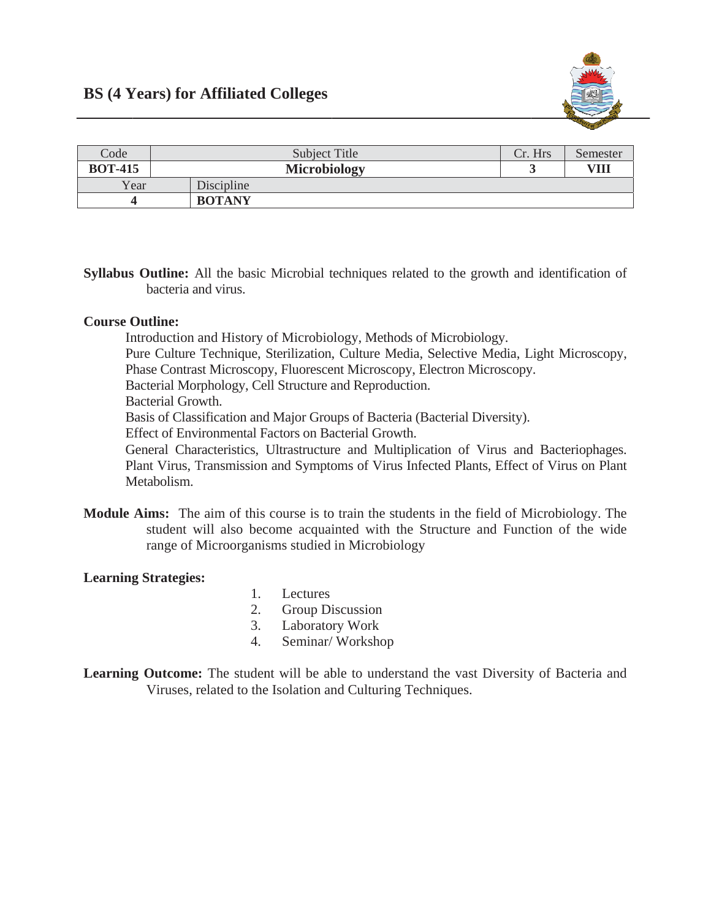

| Code           | Subject Title       | Cr. Hrs | Semester |
|----------------|---------------------|---------|----------|
| <b>BOT-415</b> | <b>Microbiology</b> |         | VIII     |
| Year           | Discipline          |         |          |
|                | <b>BOTANY</b>       |         |          |

Syllabus Outline: All the basic Microbial techniques related to the growth and identification of bacteria and virus.

## **Course Outline:**

Introduction and History of Microbiology, Methods of Microbiology.

Pure Culture Technique, Sterilization, Culture Media, Selective Media, Light Microscopy, Phase Contrast Microscopy, Fluorescent Microscopy, Electron Microscopy.

Bacterial Morphology, Cell Structure and Reproduction.

**Bacterial Growth.** 

Basis of Classification and Major Groups of Bacteria (Bacterial Diversity).

Effect of Environmental Factors on Bacterial Growth.

General Characteristics, Ultrastructure and Multiplication of Virus and Bacteriophages. Plant Virus, Transmission and Symptoms of Virus Infected Plants, Effect of Virus on Plant Metabolism

**Module Aims:** The aim of this course is to train the students in the field of Microbiology. The student will also become acquainted with the Structure and Function of the wide range of Microorganisms studied in Microbiology

## **Learning Strategies:**

- $1.$ Lectures
- 2. Group Discussion
- Laboratory Work  $3.$
- 4. Seminar/Workshop
- **Learning Outcome:** The student will be able to understand the vast Diversity of Bacteria and Viruses, related to the Isolation and Culturing Techniques.